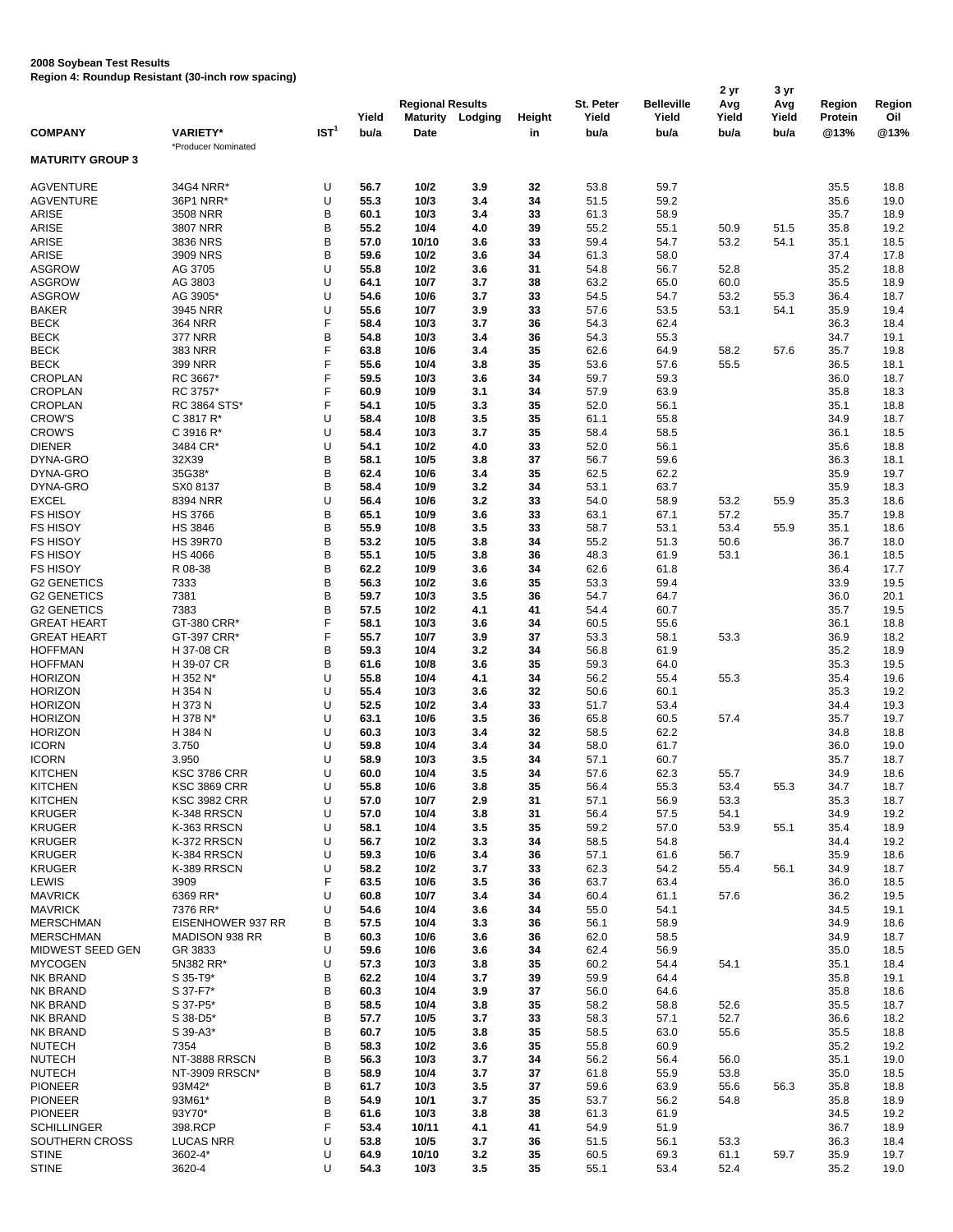## **2008 Soybean Test Results**

**Region 4: Roundup Resistant (30-inch row spacing)**

|                         |                     |                  |       | 2 yr                    |                  |        |           |                   |       | 3 yr  |         |        |  |
|-------------------------|---------------------|------------------|-------|-------------------------|------------------|--------|-----------|-------------------|-------|-------|---------|--------|--|
|                         |                     |                  |       | <b>Regional Results</b> |                  |        | St. Peter | <b>Belleville</b> | Avg   | Avg   | Region  | Region |  |
|                         |                     |                  | Yield |                         | Maturity Lodging | Height | Yield     | Yield             | Yield | Yield | Protein | Oil    |  |
| <b>COMPANY</b>          | <b>VARIETY*</b>     | IST <sup>1</sup> | bu/a  | Date                    |                  | in     | bu/a      | bu/a              | bu/a  | bu/a  | @13%    | @13%   |  |
| <b>MATURITY GROUP 3</b> | *Producer Nominated |                  |       |                         |                  |        |           |                   |       |       |         |        |  |
|                         |                     |                  |       |                         |                  |        |           |                   |       |       |         |        |  |
| <b>AGVENTURE</b>        | 34G4 NRR*           | U                | 56.7  | 10/2                    | 3.9              | 32     | 53.8      | 59.7              |       |       | 35.5    | 18.8   |  |
| <b>AGVENTURE</b>        | 36P1 NRR*           | U                | 55.3  | 10/3                    | 3.4              | 34     | 51.5      | 59.2              |       |       | 35.6    | 19.0   |  |
| ARISE                   | 3508 NRR            | B                | 60.1  | 10/3                    | 3.4              | 33     | 61.3      | 58.9              |       |       | 35.7    | 18.9   |  |
| ARISE                   | 3807 NRR            | B                | 55.2  | 10/4                    | 4.0              | 39     | 55.2      | 55.1              | 50.9  | 51.5  | 35.8    | 19.2   |  |
| <b>ARISE</b>            | 3836 NRS            | B                | 57.0  | 10/10                   | 3.6              | 33     | 59.4      | 54.7              | 53.2  | 54.1  | 35.1    | 18.5   |  |
| ARISE                   | 3909 NRS            | B                | 59.6  | 10/2                    | 3.6              | 34     | 61.3      | 58.0              |       |       | 37.4    | 17.8   |  |
| <b>ASGROW</b>           | AG 3705             | U                | 55.8  | 10/2                    | 3.6              | 31     | 54.8      | 56.7              | 52.8  |       | 35.2    | 18.8   |  |
| <b>ASGROW</b>           | AG 3803             | U                | 64.1  | 10/7                    | 3.7              | 38     | 63.2      | 65.0              | 60.0  |       | 35.5    | 18.9   |  |
| <b>ASGROW</b>           | AG 3905*            | U                | 54.6  | 10/6                    | 3.7              | 33     | 54.5      | 54.7              | 53.2  | 55.3  | 36.4    | 18.7   |  |
| <b>BAKER</b>            | 3945 NRR            | U                | 55.6  | 10/7                    | 3.9              | 33     | 57.6      | 53.5              | 53.1  | 54.1  | 35.9    | 19.4   |  |
| <b>BECK</b>             | <b>364 NRR</b>      | F                | 58.4  | 10/3                    | 3.7              | 36     | 54.3      | 62.4              |       |       | 36.3    | 18.4   |  |
| <b>BECK</b>             | <b>377 NRR</b>      | B                | 54.8  | 10/3                    | 3.4              | 36     | 54.3      | 55.3              |       |       | 34.7    | 19.1   |  |
| <b>BECK</b>             | 383 NRR             | F                | 63.8  | 10/6                    | 3.4              | 35     | 62.6      | 64.9              | 58.2  | 57.6  | 35.7    | 19.8   |  |
| BECK                    | 399 NRR             | F                | 55.6  | 10/4                    | 3.8              | 35     | 53.6      | 57.6              | 55.5  |       | 36.5    | 18.1   |  |
| <b>CROPLAN</b>          | RC 3667*            | F                | 59.5  | 10/3                    | 3.6              | 34     | 59.7      | 59.3              |       |       | 36.0    | 18.7   |  |
| <b>CROPLAN</b>          | RC 3757*            | F                | 60.9  | 10/9                    | 3.1              | 34     | 57.9      | 63.9              |       |       | 35.8    | 18.3   |  |
| <b>CROPLAN</b>          | RC 3864 STS*        | F                | 54.1  | 10/5                    | 3.3              | 35     | 52.0      | 56.1              |       |       | 35.1    | 18.8   |  |
| <b>CROW'S</b>           | C 3817 R*           | U                | 58.4  | 10/8                    | 3.5              | 35     | 61.1      | 55.8              |       |       | 34.9    | 18.7   |  |
| <b>CROW'S</b>           | C 3916 R*           | U                | 58.4  | 10/3                    | 3.7              | 35     | 58.4      | 58.5              |       |       | 36.1    | 18.5   |  |
| <b>DIENER</b>           | 3484 CR*            | U                | 54.1  | 10/2                    | 4.0              | 33     | 52.0      | 56.1              |       |       | 35.6    | 18.8   |  |
| DYNA-GRO                | 32X39               | B                | 58.1  | 10/5                    | 3.8              | 37     | 56.7      | 59.6              |       |       | 36.3    | 18.1   |  |
| DYNA-GRO                | 35G38*              | B                | 62.4  | 10/6                    | 3.4              | 35     | 62.5      | 62.2              |       |       | 35.9    | 19.7   |  |
| DYNA-GRO                | SX0 8137            | B                | 58.4  | 10/9                    | 3.2              | 34     | 53.1      | 63.7              |       |       | 35.9    | 18.3   |  |
| <b>EXCEL</b>            | 8394 NRR            | U                | 56.4  | 10/6                    | 3.2              | 33     | 54.0      | 58.9              | 53.2  | 55.9  | 35.3    | 18.6   |  |
| <b>FS HISOY</b>         | <b>HS 3766</b>      | B                | 65.1  | 10/9                    | 3.6              | 33     | 63.1      | 67.1              | 57.2  |       | 35.7    | 19.8   |  |
| <b>FS HISOY</b>         | <b>HS 3846</b>      | B                | 55.9  | 10/8                    | 3.5              | 33     | 58.7      | 53.1              | 53.4  | 55.9  | 35.1    | 18.6   |  |
| <b>FS HISOY</b>         | <b>HS 39R70</b>     | B                | 53.2  | 10/5                    | 3.8              | 34     | 55.2      | 51.3              | 50.6  |       | 36.7    | 18.0   |  |
| <b>FS HISOY</b>         | <b>HS 4066</b>      | B                | 55.1  | 10/5                    | 3.8              | 36     | 48.3      | 61.9              | 53.1  |       | 36.1    | 18.5   |  |
| <b>FS HISOY</b>         | R 08-38             | B                | 62.2  | 10/9                    | 3.6              | 34     | 62.6      | 61.8              |       |       | 36.4    | 17.7   |  |
| <b>G2 GENETICS</b>      | 7333                | B                | 56.3  | 10/2                    | 3.6              | 35     | 53.3      | 59.4              |       |       | 33.9    | 19.5   |  |
| <b>G2 GENETICS</b>      | 7381                | B                | 59.7  | 10/3                    | 3.5              | 36     | 54.7      | 64.7              |       |       | 36.0    | 20.1   |  |
| <b>G2 GENETICS</b>      | 7383                | B                | 57.5  | 10/2                    | 4.1              | 41     | 54.4      | 60.7              |       |       | 35.7    | 19.5   |  |
| <b>GREAT HEART</b>      | GT-380 CRR*         | F                | 58.1  | 10/3                    | 3.6              | 34     | 60.5      | 55.6              |       |       | 36.1    | 18.8   |  |
| <b>GREAT HEART</b>      | GT-397 CRR*         | F                | 55.7  | 10/7                    | 3.9              | 37     | 53.3      | 58.1              | 53.3  |       | 36.9    | 18.2   |  |
| <b>HOFFMAN</b>          | H 37-08 CR          | B                | 59.3  | 10/4                    | 3.2              | 34     | 56.8      | 61.9              |       |       | 35.2    | 18.9   |  |
| <b>HOFFMAN</b>          | H 39-07 CR          | B                | 61.6  | 10/8                    | 3.6              | 35     | 59.3      | 64.0              |       |       | 35.3    | 19.5   |  |
| <b>HORIZON</b>          | H 352 N*            | U                | 55.8  | 10/4                    | 4.1              | 34     | 56.2      | 55.4              | 55.3  |       | 35.4    | 19.6   |  |
| <b>HORIZON</b>          | H 354 N             | U                | 55.4  | 10/3                    | 3.6              | 32     | 50.6      | 60.1              |       |       | 35.3    | 19.2   |  |
| <b>HORIZON</b>          | H 373 N             | U                | 52.5  | 10/2                    | 3.4              | 33     | 51.7      | 53.4              |       |       | 34.4    | 19.3   |  |
| <b>HORIZON</b>          | H 378 N*            | U                | 63.1  | 10/6                    | 3.5              | 36     | 65.8      | 60.5              | 57.4  |       | 35.7    | 19.7   |  |
| <b>HORIZON</b>          | H 384 N             | U                | 60.3  | 10/3                    | 3.4              | 32     | 58.5      | 62.2              |       |       | 34.8    | 18.8   |  |
| <b>ICORN</b>            | 3.750               | U                | 59.8  | 10/4                    | 3.4              | 34     | 58.0      | 61.7              |       |       | 36.0    | 19.0   |  |
| <b>ICORN</b>            | 3.950               | U                | 58.9  | 10/3                    | 3.5              | 34     | 57.1      | 60.7              |       |       | 35.7    | 18.7   |  |
| <b>KITCHEN</b>          | <b>KSC 3786 CRR</b> | U                | 60.0  | 10/4                    | 3.5              | 34     | 57.6      | 62.3              | 55.7  |       | 34.9    | 18.6   |  |
| KITCHEN                 | <b>KSC 3869 CRR</b> | υ                | 55.8  | 10/6                    | 3.8              | 35     | 56.4      | 55.3              | 53.4  | 55.3  | 34.7    | 18.7   |  |
| <b>KITCHEN</b>          | <b>KSC 3982 CRR</b> | U                | 57.0  | 10/7                    | 2.9              | 31     | 57.1      | 56.9              | 53.3  |       | 35.3    | 18.7   |  |
| <b>KRUGER</b>           | K-348 RRSCN         | U                | 57.0  | 10/4                    | 3.8              | 31     | 56.4      | 57.5              | 54.1  |       | 34.9    | 19.2   |  |
| <b>KRUGER</b>           | K-363 RRSCN         | U                | 58.1  | 10/4                    | 3.5              | 35     | 59.2      | 57.0              | 53.9  | 55.1  | 35.4    | 18.9   |  |
| <b>KRUGER</b>           | K-372 RRSCN         | U                | 56.7  | 10/2                    | 3.3              | 34     | 58.5      | 54.8              |       |       | 34.4    | 19.2   |  |
| <b>KRUGER</b>           | K-384 RRSCN         | U                | 59.3  | 10/6                    | 3.4              | 36     | 57.1      | 61.6              | 56.7  |       | 35.9    | 18.6   |  |
| <b>KRUGER</b>           | K-389 RRSCN         | U                | 58.2  | 10/2                    | 3.7              | 33     | 62.3      | 54.2              | 55.4  | 56.1  | 34.9    | 18.7   |  |
| LEWIS                   | 3909                | F                | 63.5  | 10/6                    | 3.5              | 36     | 63.7      | 63.4              |       |       | 36.0    | 18.5   |  |
| <b>MAVRICK</b>          | 6369 RR*            | U                | 60.8  | 10/7                    | 3.4              | 34     | 60.4      | 61.1              | 57.6  |       | 36.2    | 19.5   |  |
| <b>MAVRICK</b>          | 7376 RR*            | U                | 54.6  | 10/4                    | 3.6              | 34     | 55.0      | 54.1              |       |       | 34.5    | 19.1   |  |
| <b>MERSCHMAN</b>        | EISENHOWER 937 RR   | В                | 57.5  | 10/4                    | 3.3              | 36     | 56.1      | 58.9              |       |       | 34.9    | 18.6   |  |
| <b>MERSCHMAN</b>        | MADISON 938 RR      | B                | 60.3  | 10/6                    | 3.6              | 36     | 62.0      | 58.5              |       |       | 34.9    | 18.7   |  |
| MIDWEST SEED GEN        | GR 3833             | U                | 59.6  | 10/6                    | 3.6              | 34     | 62.4      | 56.9              |       |       | 35.0    | 18.5   |  |
| <b>MYCOGEN</b>          | 5N382 RR*           | U                | 57.3  | 10/3                    | 3.8              | 35     | 60.2      | 54.4              | 54.1  |       | 35.1    | 18.4   |  |
| NK BRAND                | S 35-T9*            | B                | 62.2  | 10/4                    | 3.7              | 39     | 59.9      | 64.4              |       |       | 35.8    | 19.1   |  |
| NK BRAND                | S 37-F7*            | В                | 60.3  | 10/4                    | 3.9              | 37     | 56.0      | 64.6              |       |       | 35.8    | 18.6   |  |
| NK BRAND                | S 37-P5*            | B                | 58.5  | 10/4                    | 3.8              | 35     | 58.2      | 58.8              | 52.6  |       | 35.5    | 18.7   |  |
| <b>NK BRAND</b>         | S 38-D5*            | B                | 57.7  | 10/5                    | 3.7              | 33     | 58.3      | 57.1              | 52.7  |       | 36.6    | 18.2   |  |
| <b>NK BRAND</b>         | S 39-A3*            | B                | 60.7  | 10/5                    | 3.8              | 35     | 58.5      | 63.0              | 55.6  |       | 35.5    | 18.8   |  |
| <b>NUTECH</b>           | 7354                | B                | 58.3  | 10/2                    | 3.6              | 35     | 55.8      | 60.9              |       |       | 35.2    | 19.2   |  |
| <b>NUTECH</b>           | NT-3888 RRSCN       | B                | 56.3  | 10/3                    | 3.7              | 34     | 56.2      | 56.4              | 56.0  |       | 35.1    | 19.0   |  |
| <b>NUTECH</b>           | NT-3909 RRSCN*      | В                | 58.9  | 10/4                    | 3.7              | 37     | 61.8      | 55.9              | 53.8  |       | 35.0    | 18.5   |  |
| <b>PIONEER</b>          | 93M42*              | В                | 61.7  | 10/3                    | 3.5              | 37     | 59.6      | 63.9              | 55.6  | 56.3  | 35.8    | 18.8   |  |
| <b>PIONEER</b>          | 93M61*              | B                | 54.9  | 10/1                    | 3.7              | 35     | 53.7      | 56.2              | 54.8  |       | 35.8    | 18.9   |  |
| <b>PIONEER</b>          | 93Y70*              | B                | 61.6  | 10/3                    | 3.8              | 38     | 61.3      | 61.9              |       |       | 34.5    | 19.2   |  |
| <b>SCHILLINGER</b>      | 398.RCP             | F                | 53.4  | 10/11                   | 4.1              | 41     | 54.9      | 51.9              |       |       | 36.7    | 18.9   |  |
| SOUTHERN CROSS          | <b>LUCAS NRR</b>    | U                | 53.8  | 10/5                    | 3.7              | 36     | 51.5      | 56.1              | 53.3  |       | 36.3    | 18.4   |  |
| <b>STINE</b>            | 3602-4*             | U                | 64.9  | 10/10                   | 3.2              | 35     | 60.5      | 69.3              | 61.1  | 59.7  | 35.9    | 19.7   |  |
| <b>STINE</b>            | 3620-4              | U                | 54.3  | 10/3                    | 3.5              | 35     | 55.1      | 53.4              | 52.4  |       | 35.2    | 19.0   |  |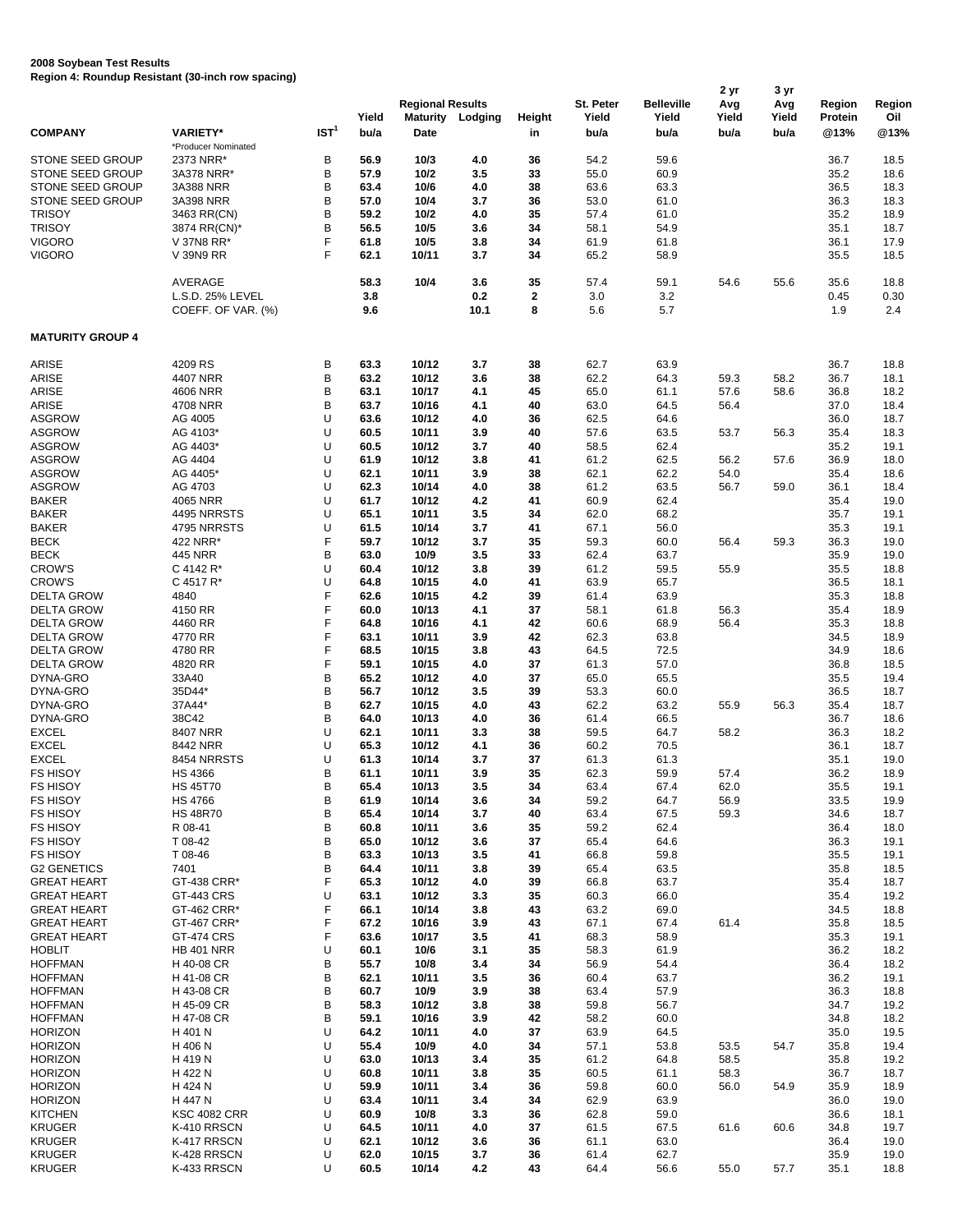## **2008 Soybean Test Results**

**Region 4: Roundup Resistant (30-inch row spacing)**

|                                             |                                        |                  |               | <b>Regional Results</b> |                         |                  | St. Peter     | <b>Belleville</b> | 2 yr<br>Avg   | 3 yr<br>Avg   | Region          | Region       |
|---------------------------------------------|----------------------------------------|------------------|---------------|-------------------------|-------------------------|------------------|---------------|-------------------|---------------|---------------|-----------------|--------------|
| <b>COMPANY</b>                              | <b>VARIETY*</b>                        | IST <sup>1</sup> | Yield<br>bu/a | Date                    | <b>Maturity Lodging</b> | Height<br>in     | Yield<br>bu/a | Yield<br>bu/a     | Yield<br>bu/a | Yield<br>bu/a | Protein<br>@13% | Oil<br>@13%  |
|                                             | *Producer Nominated                    |                  |               |                         |                         |                  |               |                   |               |               |                 |              |
| <b>STONE SEED GROUP</b><br>STONE SEED GROUP | 2373 NRR*<br>3A378 NRR*                | В<br>B           | 56.9<br>57.9  | 10/3<br>10/2            | 4.0<br>3.5              | 36<br>33         | 54.2<br>55.0  | 59.6<br>60.9      |               |               | 36.7<br>35.2    | 18.5         |
| STONE SEED GROUP                            | 3A388 NRR                              | В                | 63.4          | 10/6                    | 4.0                     | 38               |               | 63.3              |               |               | 36.5            | 18.6<br>18.3 |
| STONE SEED GROUP                            | 3A398 NRR                              | В                | 57.0          | 10/4                    | 3.7                     | 36               | 63.6<br>53.0  | 61.0              |               |               | 36.3            | 18.3         |
| <b>TRISOY</b>                               | 3463 RR(CN)                            | В                | 59.2          | 10/2                    | 4.0                     | 35               | 57.4          | 61.0              |               |               | 35.2            | 18.9         |
| <b>TRISOY</b>                               | 3874 RR(CN)*                           | В                | 56.5          | 10/5                    | 3.6                     | 34               | 58.1          | 54.9              |               |               | 35.1            | 18.7         |
| <b>VIGORO</b>                               | V 37N8 RR*                             | F                | 61.8          | 10/5                    | 3.8                     | 34               | 61.9          | 61.8              |               |               | 36.1            | 17.9         |
| <b>VIGORO</b>                               | V 39N9 RR                              | F                | 62.1          | 10/11                   | 3.7                     | 34               | 65.2          | 58.9              |               |               | 35.5            | 18.5         |
|                                             | AVERAGE                                |                  | 58.3          | 10/4                    | 3.6                     | 35               | 57.4          | 59.1              | 54.6          | 55.6          | 35.6            | 18.8         |
|                                             | L.S.D. 25% LEVEL<br>COEFF. OF VAR. (%) |                  | 3.8<br>9.6    |                         | 0.2<br>10.1             | $\mathbf 2$<br>8 | 3.0<br>5.6    | 3.2<br>5.7        |               |               | 0.45<br>1.9     | 0.30<br>2.4  |
| <b>MATURITY GROUP 4</b>                     |                                        |                  |               |                         |                         |                  |               |                   |               |               |                 |              |
| ARISE                                       | 4209 RS                                | B                | 63.3          | 10/12                   | 3.7                     | 38               | 62.7          | 63.9              |               |               | 36.7            | 18.8         |
| ARISE                                       | 4407 NRR                               | B                | 63.2          | 10/12                   | 3.6                     | 38               | 62.2          | 64.3              | 59.3          | 58.2          | 36.7            | 18.1         |
| ARISE                                       | 4606 NRR                               | B                | 63.1          | 10/17                   | 4.1                     | 45               | 65.0          | 61.1              | 57.6          | 58.6          | 36.8            | 18.2         |
| <b>ARISE</b>                                | 4708 NRR                               | B                | 63.7          | 10/16                   | 4.1                     | 40               | 63.0          | 64.5              | 56.4          |               | 37.0            | 18.4         |
| <b>ASGROW</b>                               | AG 4005                                | U                | 63.6          | 10/12                   | 4.0                     | 36               | 62.5          | 64.6              |               |               | 36.0            | 18.7         |
| <b>ASGROW</b>                               | AG 4103*                               | U                | 60.5          | 10/11                   | 3.9                     | 40               | 57.6          | 63.5              | 53.7          | 56.3          | 35.4            | 18.3         |
| <b>ASGROW</b>                               | AG 4403*                               | U                | 60.5          | 10/12                   | 3.7                     | 40               | 58.5          | 62.4              |               |               | 35.2            | 19.1         |
| <b>ASGROW</b>                               | AG 4404                                | U                | 61.9          | 10/12                   | 3.8                     | 41               | 61.2          | 62.5              | 56.2          | 57.6          | 36.9            | 18.0         |
| <b>ASGROW</b>                               | AG 4405*                               | U                | 62.1          | 10/11                   | 3.9                     | 38               | 62.1          | 62.2              | 54.0          |               | 35.4            | 18.6         |
| <b>ASGROW</b>                               | AG 4703                                | U                | 62.3          | 10/14                   | 4.0                     | 38               | 61.2          | 63.5              | 56.7          | 59.0          | 36.1            | 18.4         |
| <b>BAKER</b>                                | 4065 NRR                               | U                | 61.7          | 10/12                   | 4.2                     | 41               | 60.9          | 62.4              |               |               | 35.4            | 19.0         |
| <b>BAKER</b>                                | 4495 NRRSTS                            | U                | 65.1          | 10/11                   | 3.5                     | 34               | 62.0          | 68.2              |               |               | 35.7            | 19.1         |
| <b>BAKER</b>                                | 4795 NRRSTS                            | U                | 61.5          | 10/14                   | 3.7                     | 41               | 67.1          | 56.0              |               |               | 35.3            | 19.1         |
| <b>BECK</b>                                 | 422 NRR*                               | F                | 59.7          | 10/12                   | 3.7                     | 35               | 59.3          | 60.0              | 56.4          | 59.3          | 36.3            | 19.0         |
| <b>BECK</b>                                 | <b>445 NRR</b>                         | B                | 63.0          | 10/9                    | 3.5                     | 33               | 62.4          | 63.7              |               |               | 35.9            | 19.0         |
| <b>CROW'S</b>                               | C 4142 R*                              | U                | 60.4          | 10/12                   | 3.8                     | 39               | 61.2          | 59.5              | 55.9          |               | 35.5            | 18.8         |
| <b>CROW'S</b>                               | C 4517 R*                              | U                | 64.8          | 10/15                   | 4.0                     | 41               | 63.9          | 65.7              |               |               | 36.5            | 18.1         |
| <b>DELTA GROW</b>                           | 4840                                   | F                | 62.6          | 10/15                   | 4.2                     | 39               | 61.4          | 63.9              |               |               | 35.3            | 18.8         |
| <b>DELTA GROW</b>                           | 4150 RR                                | F                | 60.0          | 10/13                   | 4.1                     | 37               | 58.1          | 61.8              | 56.3          |               | 35.4            | 18.9         |
| <b>DELTA GROW</b>                           | 4460 RR                                | F                | 64.8          | 10/16                   | 4.1                     | 42               | 60.6          | 68.9              | 56.4          |               | 35.3            | 18.8         |
| <b>DELTA GROW</b>                           | 4770 RR<br>4780 RR                     | F<br>F           | 63.1<br>68.5  | 10/11                   | 3.9                     | 42<br>43         | 62.3          | 63.8              |               |               | 34.5            | 18.9         |
| <b>DELTA GROW</b><br><b>DELTA GROW</b>      | 4820 RR                                | F                | 59.1          | 10/15<br>10/15          | 3.8<br>4.0              | 37               | 64.5<br>61.3  | 72.5<br>57.0      |               |               | 34.9<br>36.8    | 18.6<br>18.5 |
| DYNA-GRO                                    | 33A40                                  | B                | 65.2          | 10/12                   | 4.0                     | 37               | 65.0          | 65.5              |               |               | 35.5            | 19.4         |
| DYNA-GRO                                    | 35D44*                                 | B                | 56.7          | 10/12                   | 3.5                     | 39               | 53.3          | 60.0              |               |               | 36.5            | 18.7         |
| DYNA-GRO                                    | 37A44*                                 | B                | 62.7          | 10/15                   | 4.0                     | 43               | 62.2          | 63.2              | 55.9          | 56.3          | 35.4            | 18.7         |
| DYNA-GRO                                    | 38C42                                  | B                | 64.0          | 10/13                   | 4.0                     | 36               | 61.4          | 66.5              |               |               | 36.7            | 18.6         |
| <b>EXCEL</b>                                | 8407 NRR                               | U                | 62.1          | 10/11                   | 3.3                     | 38               | 59.5          | 64.7              | 58.2          |               | 36.3            | 18.2         |
| <b>EXCEL</b>                                | 8442 NRR                               | U                | 65.3          | 10/12                   | 4.1                     | 36               | 60.2          | 70.5              |               |               | 36.1            | 18.7         |
| <b>EXCEL</b>                                | 8454 NRRSTS                            | U                | 61.3          | 10/14                   | 3.7                     | 37               | 61.3          | 61.3              |               |               | 35.1            | 19.0         |
| <b>FS HISOY</b>                             | HS 4366                                | B                | 61.1          | 10/11                   | 3.9                     | 35               | 62.3          | 59.9              | 57.4          |               | 36.2            | 18.9         |
| <b>FS HISOY</b>                             | <b>HS 45T70</b>                        | В                | 65.4          | 10/13                   | 3.5                     | 34               | 63.4          | 67.4              | 62.0          |               | 35.5            | 19.1         |
| <b>FS HISOY</b>                             | HS 4766                                | В                | 61.9          | 10/14                   | 3.6                     | 34               | 59.2          | 64.7              | 56.9          |               | 33.5            | 19.9         |
| <b>FS HISOY</b>                             | <b>HS 48R70</b>                        | В                | 65.4          | 10/14                   | 3.7                     | 40               | 63.4          | 67.5              | 59.3          |               | 34.6            | 18.7         |
| <b>FS HISOY</b>                             | R 08-41                                | B                | 60.8          | 10/11                   | 3.6                     | 35               | 59.2          | 62.4              |               |               | 36.4            | 18.0         |
| <b>FS HISOY</b>                             | T 08-42                                | B                | 65.0          | 10/12                   | 3.6                     | 37               | 65.4          | 64.6              |               |               | 36.3            | 19.1         |
| <b>FS HISOY</b>                             | T 08-46                                | B                | 63.3          | 10/13                   | 3.5                     | 41               | 66.8          | 59.8              |               |               | 35.5            | 19.1         |
| <b>G2 GENETICS</b>                          | 7401                                   | B                | 64.4          | 10/11                   | 3.8                     | 39               | 65.4          | 63.5              |               |               | 35.8            | 18.5         |
| <b>GREAT HEART</b>                          | GT-438 CRR*                            | F                | 65.3          | 10/12                   | 4.0                     | 39               | 66.8          | 63.7              |               |               | 35.4            | 18.7         |
| <b>GREAT HEART</b>                          | GT-443 CRS                             | U                | 63.1          | 10/12                   | 3.3                     | 35               | 60.3          | 66.0              |               |               | 35.4            | 19.2         |
| <b>GREAT HEART</b>                          | GT-462 CRR*                            | F                | 66.1          | 10/14                   | 3.8                     | 43               | 63.2          | 69.0              |               |               | 34.5            | 18.8         |
| <b>GREAT HEART</b>                          | GT-467 CRR*                            | F                | 67.2          | 10/16                   | 3.9                     | 43               | 67.1          | 67.4              | 61.4          |               | 35.8            | 18.5         |
| <b>GREAT HEART</b>                          | <b>GT-474 CRS</b>                      | F                | 63.6          | 10/17                   | 3.5                     | 41               | 68.3          | 58.9              |               |               | 35.3            | 19.1         |
| <b>HOBLIT</b>                               | <b>HB 401 NRR</b>                      | U                | 60.1          | 10/6                    | 3.1                     | 35               | 58.3          | 61.9              |               |               | 36.2            | 18.2         |
| <b>HOFFMAN</b>                              | H 40-08 CR                             | В                | 55.7          | 10/8                    | 3.4                     | 34               | 56.9          | 54.4              |               |               | 36.4            | 18.2         |
| <b>HOFFMAN</b>                              | H 41-08 CR                             | В                | 62.1          | 10/11                   | 3.5                     | 36               | 60.4          | 63.7              |               |               | 36.2            | 19.1         |
| <b>HOFFMAN</b>                              | H 43-08 CR                             | В                | 60.7          | 10/9                    | 3.9                     | 38               | 63.4          | 57.9              |               |               | 36.3            | 18.8         |
| <b>HOFFMAN</b>                              | H 45-09 CR<br>H 47-08 CR               | B<br>в           | 58.3<br>59.1  | 10/12                   | 3.8                     | 38               | 59.8          | 56.7              |               |               | 34.7            | 19.2         |
| <b>HOFFMAN</b><br><b>HORIZON</b>            | H 401 N                                | U                | 64.2          | 10/16<br>10/11          | 3.9<br>4.0              | 42<br>37         | 58.2<br>63.9  | 60.0<br>64.5      |               |               | 34.8<br>35.0    | 18.2<br>19.5 |
| <b>HORIZON</b>                              | H 406 N                                | U                | 55.4          | 10/9                    |                         | 34               | 57.1          |                   |               |               |                 |              |
| <b>HORIZON</b>                              | H 419 N                                | U                | 63.0          | 10/13                   | 4.0<br>3.4              | 35               | 61.2          | 53.8<br>64.8      | 53.5<br>58.5  | 54.7          | 35.8<br>35.8    | 19.4<br>19.2 |
| <b>HORIZON</b>                              | H 422 N                                | U                | 60.8          | 10/11                   | 3.8                     | 35               | 60.5          | 61.1              | 58.3          |               | 36.7            | 18.7         |
| <b>HORIZON</b>                              | H 424 N                                | U                | 59.9          | 10/11                   | 3.4                     | 36               | 59.8          | 60.0              | 56.0          | 54.9          | 35.9            | 18.9         |
| <b>HORIZON</b>                              | H 447 N                                | U                | 63.4          | 10/11                   | 3.4                     | 34               | 62.9          | 63.9              |               |               | 36.0            | 19.0         |
| <b>KITCHEN</b>                              | <b>KSC 4082 CRR</b>                    | U                | 60.9          | 10/8                    | 3.3                     | 36               | 62.8          | 59.0              |               |               | 36.6            | 18.1         |
| <b>KRUGER</b>                               | K-410 RRSCN                            | U                | 64.5          | 10/11                   | 4.0                     | 37               | 61.5          | 67.5              | 61.6          | 60.6          | 34.8            | 19.7         |
| <b>KRUGER</b>                               | K-417 RRSCN                            | U                | 62.1          | 10/12                   | 3.6                     | 36               | 61.1          | 63.0              |               |               | 36.4            | 19.0         |
| <b>KRUGER</b>                               | K-428 RRSCN                            | U                | 62.0          | 10/15                   | 3.7                     | 36               | 61.4          | 62.7              |               |               | 35.9            | 19.0         |
| <b>KRUGER</b>                               | K-433 RRSCN                            | U                | 60.5          | 10/14                   | 4.2                     | 43               | 64.4          | 56.6              | 55.0          | 57.7          | 35.1            | 18.8         |